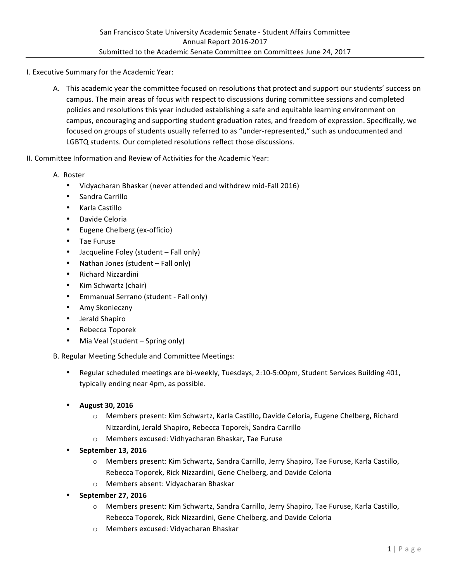I. Executive Summary for the Academic Year:

- A. This academic year the committee focused on resolutions that protect and support our students' success on campus. The main areas of focus with respect to discussions during committee sessions and completed policies and resolutions this year included establishing a safe and equitable learning environment on campus, encouraging and supporting student graduation rates, and freedom of expression. Specifically, we focused on groups of students usually referred to as "under-represented," such as undocumented and LGBTQ students. Our completed resolutions reflect those discussions.
- II. Committee Information and Review of Activities for the Academic Year:
	- A. Roster
		- Vidyacharan Bhaskar (never attended and withdrew mid-Fall 2016)
		- Sandra Carrillo
		- Karla Castillo
		- Davide Celoria
		- Eugene Chelberg (ex-officio)
		- Tae Furuse
		- Jacqueline Foley (student Fall only)
		- Nathan Jones (student  $-$  Fall only)
		- Richard Nizzardini
		- Kim Schwartz (chair)
		- Emmanual Serrano (student Fall only)
		- Amy Skonieczny
		- Jerald Shapiro
		- Rebecca Toporek
		- Mia Veal (student Spring only)

B. Regular Meeting Schedule and Committee Meetings:

- Regular scheduled meetings are bi-weekly, Tuesdays, 2:10-5:00pm, Student Services Building 401, typically ending near 4pm, as possible.
- **August 30, 2016**
	- $\circ$  Members present: Kim Schwartz, Karla Castillo, Davide Celoria, Eugene Chelberg, Richard Nizzardini**,** Jerald Shapiro**,** Rebecca Toporek, Sandra Carrillo
	- o Members excused: Vidhyacharan Bhaskar**,** Tae Furuse
- **September 13, 2016**
	- $\circ$  Members present: Kim Schwartz, Sandra Carrillo, Jerry Shapiro, Tae Furuse, Karla Castillo, Rebecca Toporek, Rick Nizzardini, Gene Chelberg, and Davide Celoria
	- o Members absent: Vidyacharan Bhaskar
- **September 27, 2016**
	- $\circ$  Members present: Kim Schwartz, Sandra Carrillo, Jerry Shapiro, Tae Furuse, Karla Castillo, Rebecca Toporek, Rick Nizzardini, Gene Chelberg, and Davide Celoria
	- o Members excused: Vidyacharan Bhaskar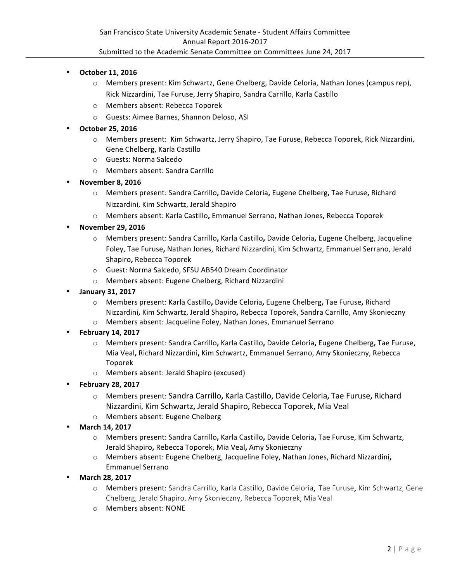- **October 11, 2016**
	- $\circ$  Members present: Kim Schwartz, Gene Chelberg, Davide Celoria, Nathan Jones (campus rep), Rick Nizzardini, Tae Furuse, Jerry Shapiro, Sandra Carrillo, Karla Castillo
	- o Members absent: Rebecca Toporek
	- o Guests: Aimee Barnes, Shannon Deloso, ASI

## • **October 25, 2016**

- o Members present: Kim Schwartz, Jerry Shapiro, Tae Furuse, Rebecca Toporek, Rick Nizzardini, Gene Chelberg, Karla Castillo
- o Guests: Norma Salcedo
- o Members absent: Sandra Carrillo
- **November 8, 2016**
	- o Members present: Sandra Carrillo**,** Davide Celoria**,** Eugene Chelberg**,** Tae Furuse**,** Richard Nizzardini, Kim Schwartz, Jerald Shapiro
	- o Members absent: Karla Castillo**,** Emmanuel Serrano, Nathan Jones**,** Rebecca Toporek
- **November 29, 2016**
	- o Members present: Sandra Carrillo**,** Karla Castillo**,** Davide Celoria**,** Eugene Chelberg, Jacqueline Foley, Tae Furuse, Nathan Jones, Richard Nizzardini, Kim Schwartz, Emmanuel Serrano, Jerald Shapiro, Rebecca Toporek
	- o Guest: Norma Salcedo, SFSU AB540 Dream Coordinator
	- o Members absent: Eugene Chelberg, Richard Nizzardini
- **January 31, 2017**
	- o Members present: Karla Castillo**,** Davide Celoria**,** Eugene Chelberg**,** Tae Furuse**,** Richard Nizzardini**,** Kim Schwartz, Jerald Shapiro**,** Rebecca Toporek, Sandra Carrillo, Amy Skonieczny
	- o Members absent: Jacqueline Foley, Nathan Jones, Emmanuel Serrano
- **February 14, 2017**
	- o Members present: Sandra Carrillo**,** Karla Castillo**,** Davide Celoria**,** Eugene Chelberg**,** Tae Furuse, Mia Veal**,** Richard Nizzardini**,** Kim Schwartz, Emmanuel Serrano, Amy Skonieczny, Rebecca Toporek
	- o Members absent: Jerald Shapiro (excused)
- **February 28, 2017**
	- o Members present: Sandra Carrillo**,** Karla Castillo, Davide Celoria**,** Tae Furuse**,** Richard Nizzardini, Kim Schwartz**,** Jerald Shapiro**,** Rebecca Toporek, Mia Veal
	- o Members absent: Eugene Chelberg
- **March 14, 2017**
	- o Members present: Sandra Carrillo**,** Karla Castillo**,** Davide Celoria**,** Tae Furuse, Kim Schwartz, Jerald Shapiro**,** Rebecca Toporek, Mia Veal**,** Amy Skonieczny
	- o Members absent: Eugene Chelberg, Jacqueline Foley, Nathan Jones, Richard Nizzardini, Emmanuel Serrano
- **March 28, 2017**
	- o Members present: Sandra Carrillo, Karla Castillo, Davide Celoria, Tae Furuse, Kim Schwartz, Gene Chelberg, Jerald Shapiro, Amy Skonieczny, Rebecca Toporek, Mia Veal
	- o Members absent: NONE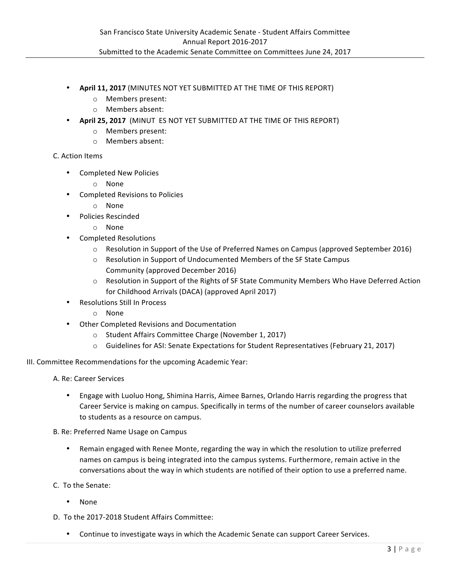- **April 11, 2017** (MINUTES NOT YET SUBMITTED AT THE TIME OF THIS REPORT)
	- o Members present:
	- o Members absent:
- **April 25, 2017** (MINUT ES NOT YET SUBMITTED AT THE TIME OF THIS REPORT)
	- o Members present:
	- o Members absent:

## C. Action Items

- Completed New Policies
	- o None
- Completed Revisions to Policies
	- o None
- Policies Rescinded
	- o None
- Completed Resolutions
	- $\circ$  Resolution in Support of the Use of Preferred Names on Campus (approved September 2016)
	- $\circ$  Resolution in Support of Undocumented Members of the SF State Campus Community (approved December 2016)
	- $\circ$  Resolution in Support of the Rights of SF State Community Members Who Have Deferred Action for Childhood Arrivals (DACA) (approved April 2017)
- Resolutions Still In Process
	- o None
- Other Completed Revisions and Documentation
	- o Student Affairs Committee Charge (November 1, 2017)
	- $\circ$  Guidelines for ASI: Senate Expectations for Student Representatives (February 21, 2017)

III. Committee Recommendations for the upcoming Academic Year:

A. Re: Career Services

- Engage with Luoluo Hong, Shimina Harris, Aimee Barnes, Orlando Harris regarding the progress that Career Service is making on campus. Specifically in terms of the number of career counselors available to students as a resource on campus.
- B. Re: Preferred Name Usage on Campus
	- Remain engaged with Renee Monte, regarding the way in which the resolution to utilize preferred names on campus is being integrated into the campus systems. Furthermore, remain active in the conversations about the way in which students are notified of their option to use a preferred name.
- C. To the Senate:
	- None
- D. To the 2017-2018 Student Affairs Committee:
	- Continue to investigate ways in which the Academic Senate can support Career Services.